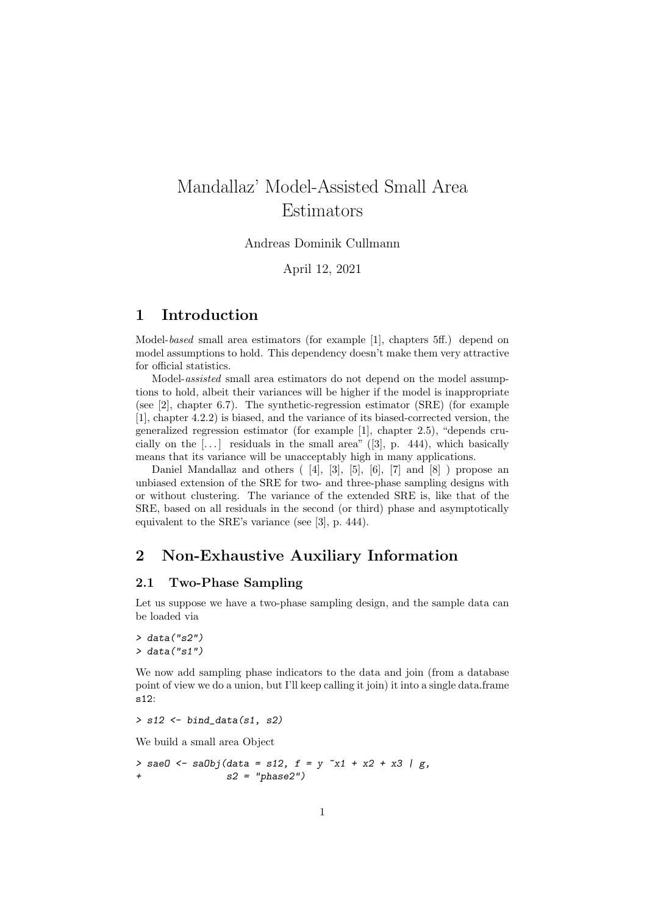# Mandallaz' Model-Assisted Small Area Estimators

Andreas Dominik Cullmann

April 12, 2021

# 1 Introduction

Model-based small area estimators (for example [1], chapters 5ff.) depend on model assumptions to hold. This dependency doesn't make them very attractive for official statistics.

Model-assisted small area estimators do not depend on the model assumptions to hold, albeit their variances will be higher if the model is inappropriate (see [2], chapter 6.7). The synthetic-regression estimator (SRE) (for example [1], chapter 4.2.2) is biased, and the variance of its biased-corrected version, the generalized regression estimator (for example [1], chapter 2.5), "depends crucially on the  $[\dots]$  residuals in the small area" ([3], p. 444), which basically means that its variance will be unacceptably high in many applications.

Daniel Mandallaz and others  $(4, 3, 5, 5, 6, 7, 7, 8)$  propose an unbiased extension of the SRE for two- and three-phase sampling designs with or without clustering. The variance of the extended SRE is, like that of the SRE, based on all residuals in the second (or third) phase and asymptotically equivalent to the SRE's variance (see [3], p. 444).

# 2 Non-Exhaustive Auxiliary Information

#### 2.1 Two-Phase Sampling

Let us suppose we have a two-phase sampling design, and the sample data can be loaded via

 $>$  data("s2")  $>$  data("s1")

We now add sampling phase indicators to the data and join (from a database point of view we do a union, but I'll keep calling it join) it into a single data.frame s12:

 $>$  s12  $\leftarrow$  bind\_data(s1, s2)

We build a small area Object

 $>$  saeO <- saObj(data = s12, f = y  $x1 + x2 + x3$  | g,  $s2 = "phase2")$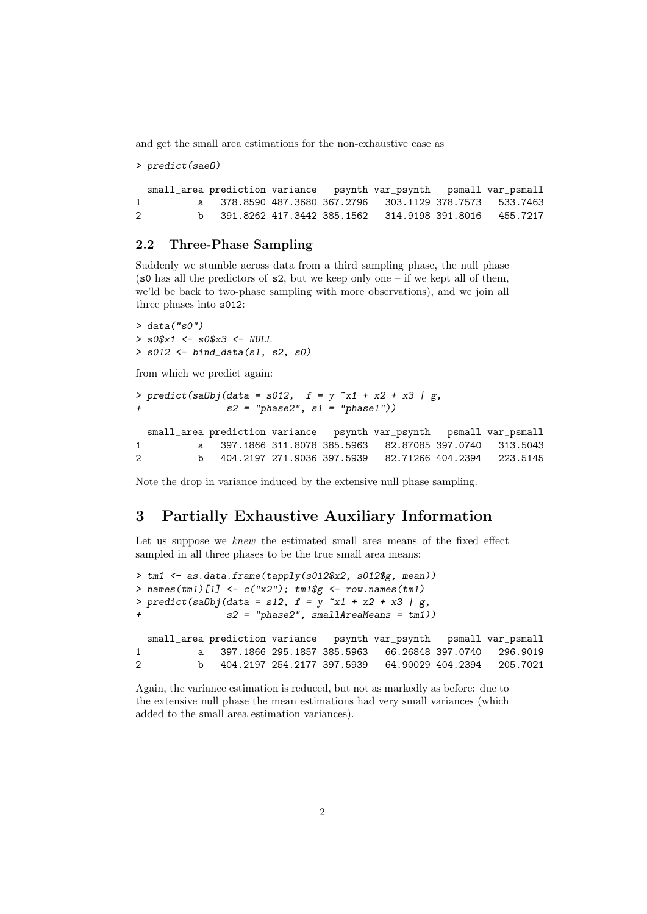and get the small area estimations for the non-exhaustive case as

```
> predict(saeO)
```

```
small_area prediction variance psynth var_psynth psmall var_psmall
1 a 378.8590 487.3680 367.2796 303.1129 378.7573 533.7463
2 b 391.8262 417.3442 385.1562 314.9198 391.8016 455.7217
```
#### 2.2 Three-Phase Sampling

Suddenly we stumble across data from a third sampling phase, the null phase (s0 has all the predictors of  $s2$ , but we keep only one – if we kept all of them, we'ld be back to two-phase sampling with more observations), and we join all three phases into s012:

```
> data("s0")
> s0$x1 <- s0$x3 <- NULL
> s012 <- bind_data(s1, s2, s0)
```
from which we predict again:

```
> predict(saObj(data = s012, f = y x1 + x2 + x3 | g,
              s2 = "phase2", s1 = "phase1")small_area prediction variance psynth var_psynth psmall var_psmall
1 a 397.1866 311.8078 385.5963 82.87085 397.0740 313.5043
2 b 404.2197 271.9036 397.5939 82.71266 404.2394 223.5145
```
Note the drop in variance induced by the extensive null phase sampling.

## 3 Partially Exhaustive Auxiliary Information

Let us suppose we knew the estimated small area means of the fixed effect sampled in all three phases to be the true small area means:

```
> tm1 <- as.data.frame(tapply(s012$x2, s012$g, mean))
> names(tm1)[1] <- c("x2"); tm1$g <- row.names(tm1)
> predict(saObj(data = s12, f = y^2 + x^2 + x^3 + x^4)
              s2 = "phase2", smallAreaMeans = tm1))small_area prediction variance psynth var_psynth psmall var_psmall
1 a 397.1866 295.1857 385.5963 66.26848 397.0740 296.9019
2 b 404.2197 254.2177 397.5939 64.90029 404.2394 205.7021
```
Again, the variance estimation is reduced, but not as markedly as before: due to the extensive null phase the mean estimations had very small variances (which added to the small area estimation variances).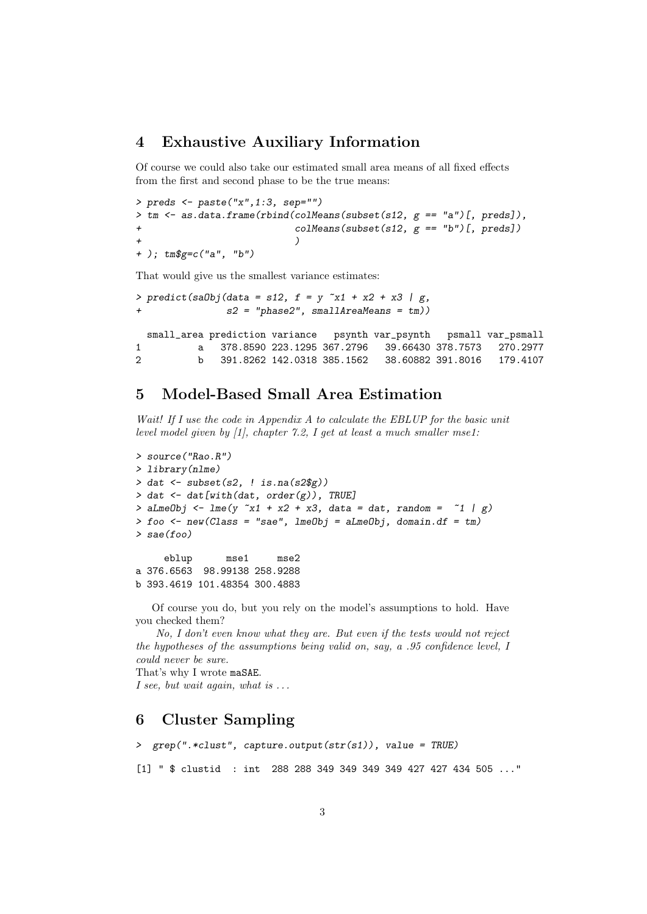## 4 Exhaustive Auxiliary Information

Of course we could also take our estimated small area means of all fixed effects from the first and second phase to be the true means:

```
> preds <- paste("x",1:3, sep="")
> tm \leq as.data.frame(rbind(colMeans(subset(s12, g == "a")[, preds]),
                          \text{colMeans}(\text{subset}(s12, g == "b")[, preds])
+ )
+ ); tm$g=c("a", "b")
```
That would give us the smallest variance estimates:

```
> predict(saObj(data = s12, f = y x1 + x2 + x3 | g,
              s2 = "phase2", smallAreaMeans = tm))
 small_area prediction variance psynth var_psynth psmall var_psmall
1 a 378.8590 223.1295 367.2796 39.66430 378.7573 270.2977
2 b 391.8262 142.0318 385.1562 38.60882 391.8016 179.4107
```
### 5 Model-Based Small Area Estimation

Wait! If I use the code in Appendix A to calculate the EBLUP for the basic unit level model given by [1], chapter 7.2, I get at least a much smaller mse1:

```
> source("Rao.R")
> library(nlme)
> dat <- subset(s2, ! is.na(s2$g))
> dat \leq dat [with(dat, order(g)), TRUE]
> aLmeObj \leq 1me(y \inftyx1 + x2 + x3, data = dat, random = \infty1 | g)
> foo \le new(Class = "sae", lmeObj = aLmeObj, domain.df = tm)
> sae(foo)
     eblup mse1 mse2
a 376.6563 98.99138 258.9288
```
b 393.4619 101.48354 300.4883

Of course you do, but you rely on the model's assumptions to hold. Have you checked them?

No, I don't even know what they are. But even if the tests would not reject the hypotheses of the assumptions being valid on, say, a .95 confidence level, I could never be sure.

That's why I wrote maSAE. I see, but wait again, what is  $\dots$ 

# 6 Cluster Sampling

```
> grep(".*clust", capture.output(str(s1)), value = TRUE)
[1] " $ clustid : int 288 288 349 349 349 349 427 427 434 505 ..."
```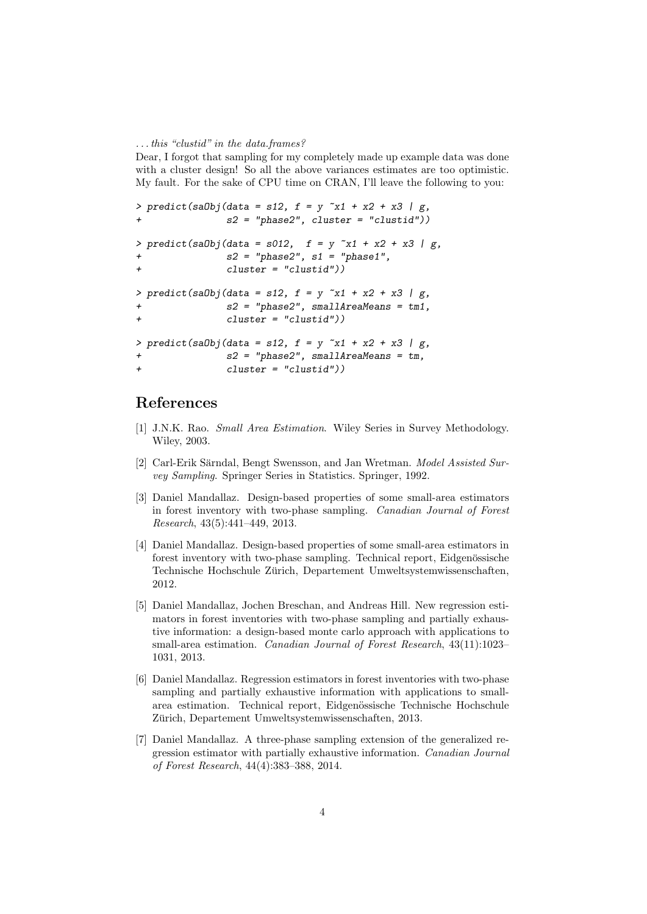#### . . . this "clustid" in the data.frames?

Dear, I forgot that sampling for my completely made up example data was done with a cluster design! So all the above variances estimates are too optimistic. My fault. For the sake of CPU time on CRAN, I'll leave the following to you:

```
> predict(saObj(data = s12, f = y^x x1 + x2 + x3 / g,
             s2 = "phase2", cluster = "clustid"))> predict(saObj(data = s012, f = y x1 + x2 + x3 | g,
             s2 = "phase2", s1 = "phase1",+ cluster = "clustid"))
> predict(saObj(data = s12, f = y x1 + x2 + x3 | g,
+ s2 = "phase2", smallAreaMeans = tm1,
+ cluster = "clustid"))
> predict(saObj(data = s12, f = y^2 + x^2 + x^3 + x^4,
+ s2 = "phase2", smallAreaMeans = tm,
+ cluster = "clustid"))
```
# References

- [1] J.N.K. Rao. Small Area Estimation. Wiley Series in Survey Methodology. Wiley, 2003.
- [2] Carl-Erik Särndal, Bengt Swensson, and Jan Wretman. Model Assisted Survey Sampling. Springer Series in Statistics. Springer, 1992.
- [3] Daniel Mandallaz. Design-based properties of some small-area estimators in forest inventory with two-phase sampling. Canadian Journal of Forest Research, 43(5):441–449, 2013.
- [4] Daniel Mandallaz. Design-based properties of some small-area estimators in forest inventory with two-phase sampling. Technical report, Eidgenössische Technische Hochschule Zurich, Departement Umweltsystemwissenschaften, ¨ 2012.
- [5] Daniel Mandallaz, Jochen Breschan, and Andreas Hill. New regression estimators in forest inventories with two-phase sampling and partially exhaustive information: a design-based monte carlo approach with applications to small-area estimation. Canadian Journal of Forest Research, 43(11):1023– 1031, 2013.
- [6] Daniel Mandallaz. Regression estimators in forest inventories with two-phase sampling and partially exhaustive information with applications to smallarea estimation. Technical report, Eidgenössische Technische Hochschule Zürich, Departement Umweltsystemwissenschaften, 2013.
- [7] Daniel Mandallaz. A three-phase sampling extension of the generalized regression estimator with partially exhaustive information. Canadian Journal of Forest Research, 44(4):383–388, 2014.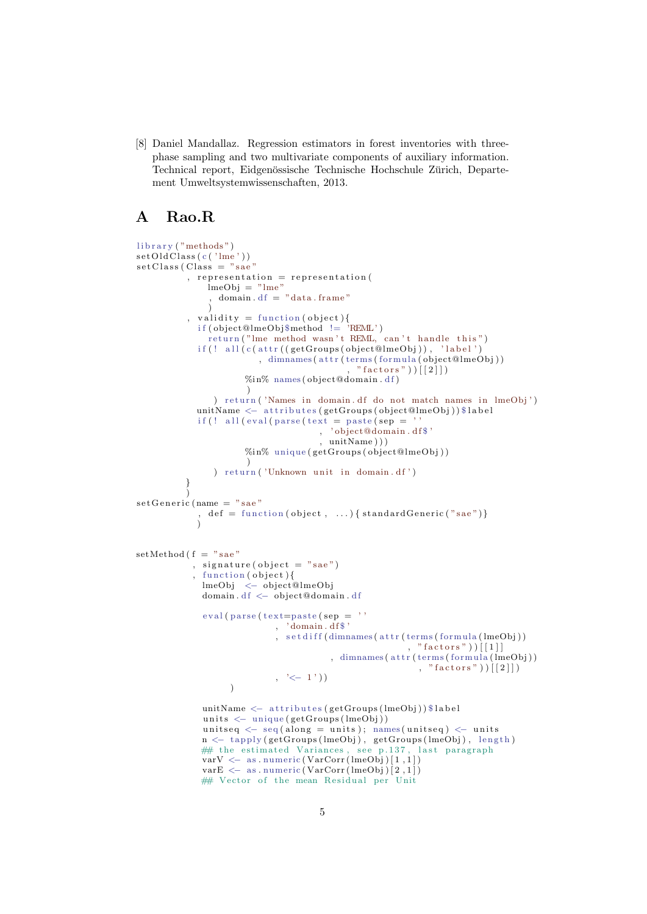[8] Daniel Mandallaz. Regression estimators in forest inventories with threephase sampling and two multivariate components of auxiliary information. Technical report, Eidgenössische Technische Hochschule Zürich, Departement Umweltsystemwissenschaften, 2013.

# A Rao.R

```
library ("methods")
set Old Class (c ('1me'))\text{setClass} ( \text{Class} = "sae", representation = representation (
               lmeObj = "lme"domain. df = "data frame")
           , validity = function (object){
             if ( object@lmeObj$method != 'REML')
               return("lme method wasn't REML, can't handle this")if (! all (c (attr ((get Groups (object@lmeObj)), 'label'), dimnames (attr(terms(formula(object@lmeObj))), "r factors") | [2]%in% names (object@domain.df)
                        )
                 ) return ('Names in domain . df do not match names in lmeObj')
             unitName <− attributes (getGroups (object@lmeObj)) $ label
             \inf (! all (eval(parse(text = paste(sep = ''
                                       , ' ob ject@domain . d f $ '
                                       , unitName ) ) )
                       %in% unique (getGroups (object@lmeObj))
                        )
                ) return ('Unknown unit in domain. df')
          }
           )
setGenerator (name = "sae"
             , def = function (object, \dots) { standard Generic ("sae")}
             )
setMethod ( f = "sae", signature (object = "sae")
            , function (\text{object}) {
             lmeObj < object@lmeObj
              domain. df \leftarrow object@domain. dfeval(parse(text=past (sep =, 'domain.df$'
                              , set diff (\text{dimnames}(\text{attr}(\text{terms}(\text{formula}(\text{lmeObj})))\left( n, \frac{\sqrt{3}}{2} \text{ factors}^n \right) ) [[1]]
                                          , dimnames ( attr(terms(formula(lmeObj)), "factors"))[[2]])
                              , \leq -1'))
              unitName <− attributes (getGroups (lmeObj)) $ label
              units \leftarrow unique (getGroups (lmeObj))
              units eq \leftarrow seq (along = units); \text{ names} (units eq) \leftarrow unitsn <− tapply (getGroups (lmeObj), getGroups (lmeObj), length)
              ## the estimated Variances, see p.137, last paragraph
              varV \langle as . numeric (VarCorr (lmeObj)[1,1])
              varE \leftarrow as . numeric (VarCorr (lmeObj)[2,1])
             ## Vector of the mean Residual per Unit
```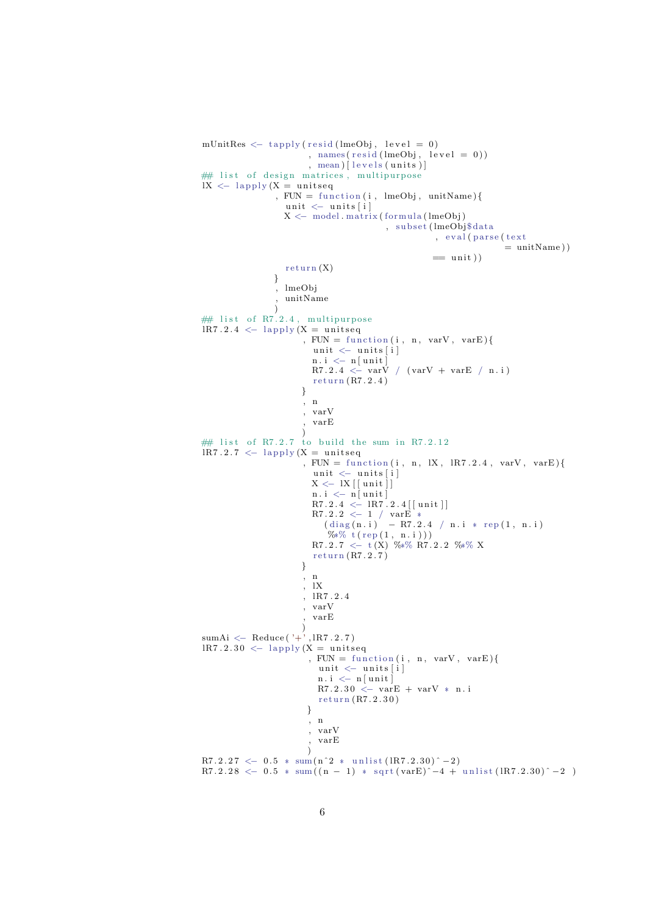```
mUnitRes \leftarrow \text{tapply} (\text{resid} (\text{lmeObj}, \text{level} = 0), names (resid (lmeObj, level = 0))
                           , mean) [ levels (units )]
## list of design matrices, multipurpose
IX \leftarrow lapply (X = \text{unitseq}), FUN = function(i, \text{ lmeObj}, \text{ unitName})unit \leftarrow units[i]X \leftarrow \text{ model matrix} (\text{formula} (\text{lmeObj})), subset (lmeObj$data
                                                          , eval (parse (text
                                                                            = unitName ))
                                                          = unit))
                     return(X)}
                  , lmeObj
                    , unitName
                  )
\# list of R7.2.4, multipurpose
\text{IR7.2.4} \leftarrow \text{lapping (X = units)}, FUN = function(i, n, varV, varE)unit \leftarrow units[i]n \cdot i \ \n\leftarrow \ n \left[ \text{unit} \right]R7.2.4 \leq \text{varV} / (\text{varV} + \text{varE} / n.i)return (R7.2.4)
                         }
                         , n
                         , varV
                         , varE
                         )
## list of R7.2.7 to build the sum in R7.2.12
lR7.2.7 \leftarrow lapply (X = unitseq
                         , FUN = function (i, n, lX, lR7.2.4, varV, varE)unit \leftarrow units[i]X \leftarrow \frac{1}{X} \left[ \left[ \text{unit} \right] \right]n \cdot i \leq n \vert \text{unit} \vertR7.2.4 < - R7.2.4 [[unit]]
                            R7.2.2 \leq 1 / varE *
                               (diag(n.i) - R7.2.4 / n.i * rep(1, n.i))\% * \ t (rep (1, n.i)))
                            R7.2.7 \leftarrow t(X) %*% R7.2.2 %*% X
                           return (R7.2.7)}
                         , n
                         , lX
                         , lR7 . 2 . 4
                         , varV
                           , varE
                         )
sumAi <− Reduce ( '+' , lR7 . 2 . 7 )
\text{IR7.2.30} \leftarrow \text{lapping (X = unitseq)}, FUN = function (i, n, varV, varE) {
                            unit \leftarrow units[i]n.i <− n[unit]<br>R7.2.30 <− varE + varV * n.i
                             return (R7.2.30)}
                          , n
                          , varV
                           , varE
                          )
R7.2.27 \le -0.5 * \text{ sum} (n^2 * \text{ units} (1R7.2.30)^2 - )R7.2.28 < -0.5 * sum((n-1) * sqrt(varE)^{-1} - 4 + units(1R7.2.30)^{-1} - 2)
```